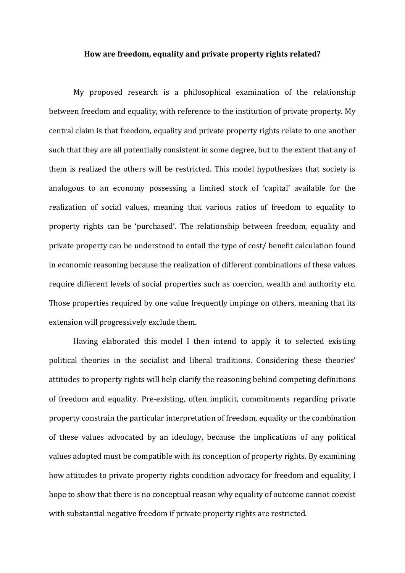## **How are freedom, equality and private property rights related?**

My proposed research is a philosophical examination of the relationship between freedom and equality, with reference to the institution of private property. My central claim is that freedom, equality and private property rights relate to one another such that they are all potentially consistent in some degree, but to the extent that any of them is realized the others will be restricted. This model hypothesizes that society is analogous to an economy possessing a limited stock of 'capital' available for the realization of social values, meaning that various ratios of freedom to equality to property rights can be 'purchased'. The relationship between freedom, equality and private property can be understood to entail the type of cost/ benefit calculation found in economic reasoning because the realization of different combinations of these values require different levels of social properties such as coercion, wealth and authority etc. Those properties required by one value frequently impinge on others, meaning that its extension will progressively exclude them.

Having elaborated this model I then intend to apply it to selected existing political theories in the socialist and liberal traditions. Considering these theories' attitudes to property rights will help clarify the reasoning behind competing definitions of freedom and equality. Pre-existing, often implicit, commitments regarding private property constrain the particular interpretation of freedom, equality or the combination of these values advocated by an ideology, because the implications of any political values adopted must be compatible with its conception of property rights. By examining how attitudes to private property rights condition advocacy for freedom and equality, I hope to show that there is no conceptual reason why equality of outcome cannot coexist with substantial negative freedom if private property rights are restricted.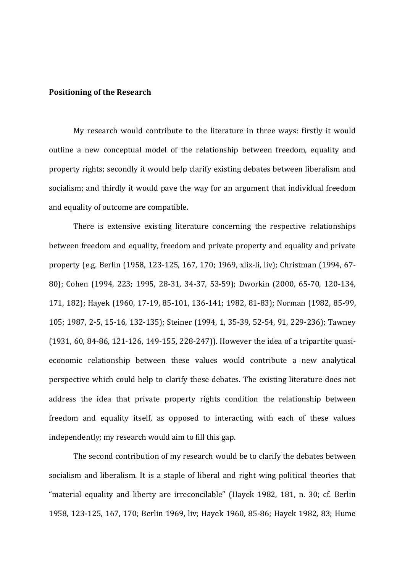## **Positioning of the Research**

My research would contribute to the literature in three ways: firstly it would outline a new conceptual model of the relationship between freedom, equality and property rights; secondly it would help clarify existing debates between liberalism and socialism; and thirdly it would pave the way for an argument that individual freedom and equality of outcome are compatible.

There is extensive existing literature concerning the respective relationships between freedom and equality, freedom and private property and equality and private property (e.g. Berlin (1958, 123-125, 167, 170; 1969, xlix-li, liv); Christman (1994, 67- 80); Cohen (1994, 223; 1995, 28-31, 34-37, 53-59); Dworkin (2000, 65-70, 120-134, 171, 182); Hayek (1960, 17-19, 85-101, 136-141; 1982, 81-83); Norman (1982, 85-99, 105; 1987, 2-5, 15-16, 132-135); Steiner (1994, 1, 35-39, 52-54, 91, 229-236); Tawney (1931, 60, 84-86, 121-126, 149-155, 228-247)). However the idea of a tripartite quasieconomic relationship between these values would contribute a new analytical perspective which could help to clarify these debates. The existing literature does not address the idea that private property rights condition the relationship between freedom and equality itself, as opposed to interacting with each of these values independently; my research would aim to fill this gap.

The second contribution of my research would be to clarify the debates between socialism and liberalism. It is a staple of liberal and right wing political theories that "material equality and liberty are irreconcilable" (Hayek 1982, 181, n. 30; cf. Berlin 1958, 123-125, 167, 170; Berlin 1969, liv; Hayek 1960, 85-86; Hayek 1982, 83; Hume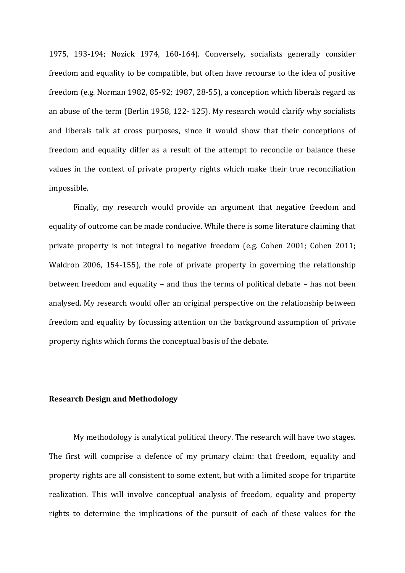1975, 193-194; Nozick 1974, 160-164). Conversely, socialists generally consider freedom and equality to be compatible, but often have recourse to the idea of positive freedom (e.g. Norman 1982, 85-92; 1987, 28-55), a conception which liberals regard as an abuse of the term (Berlin 1958, 122- 125). My research would clarify why socialists and liberals talk at cross purposes, since it would show that their conceptions of freedom and equality differ as a result of the attempt to reconcile or balance these values in the context of private property rights which make their true reconciliation impossible.

Finally, my research would provide an argument that negative freedom and equality of outcome can be made conducive. While there is some literature claiming that private property is not integral to negative freedom (e.g. Cohen 2001; Cohen 2011; Waldron 2006, 154-155), the role of private property in governing the relationship between freedom and equality – and thus the terms of political debate – has not been analysed. My research would offer an original perspective on the relationship between freedom and equality by focussing attention on the background assumption of private property rights which forms the conceptual basis of the debate.

## **Research Design and Methodology**

My methodology is analytical political theory. The research will have two stages. The first will comprise a defence of my primary claim: that freedom, equality and property rights are all consistent to some extent, but with a limited scope for tripartite realization. This will involve conceptual analysis of freedom, equality and property rights to determine the implications of the pursuit of each of these values for the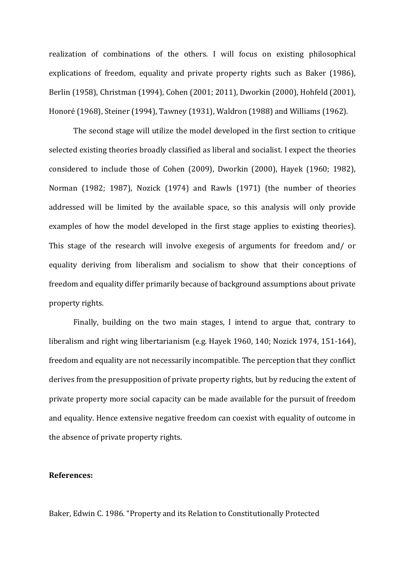realization of combinations of the others. I will focus on existing philosophical explications of freedom, equality and private property rights such as Baker (1986), Berlin (1958), Christman (1994), Cohen (2001; 2011), Dworkin (2000), Hohfeld (2001), Honoré (1968), Steiner (1994), Tawney (1931), Waldron (1988) and Williams (1962).

The second stage will utilize the model developed in the first section to critique selected existing theories broadly classified as liberal and socialist. I expect the theories considered to include those of Cohen (2009), Dworkin (2000), Hayek (1960; 1982), Norman (1982; 1987), Nozick (1974) and Rawls (1971) (the number of theories addressed will be limited by the available space, so this analysis will only provide examples of how the model developed in the first stage applies to existing theories). This stage of the research will involve exegesis of arguments for freedom and/ or equality deriving from liberalism and socialism to show that their conceptions of freedom and equality differ primarily because of background assumptions about private property rights.

Finally, building on the two main stages, I intend to argue that, contrary to liberalism and right wing libertarianism (e.g. Hayek 1960, 140; Nozick 1974, 151-164), freedom and equality are not necessarily incompatible. The perception that they conflict derives from the presupposition of private property rights, but by reducing the extent of private property more social capacity can be made available for the pursuit of freedom and equality. Hence extensive negative freedom can coexist with equality of outcome in the absence of private property rights.

## **References:**

Baker, Edwin C. 1986. "Property and its Relation to Constitutionally Protected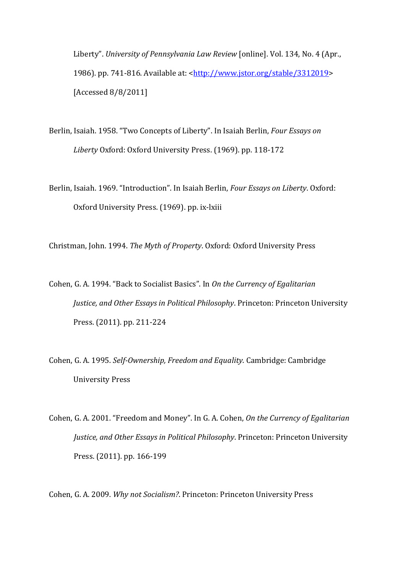Liberty". *University of Pennsylvania Law Review* [online]. Vol. 134, No. 4 (Apr., 1986). pp. 741-816. Available at: [<http://www.jstor.org/stable/3312019>](http://www.jstor.org/stable/3312019) [Accessed 8/8/2011]

Berlin, Isaiah. 1958. "Two Concepts of Liberty". In Isaiah Berlin, *Four Essays on Liberty* Oxford: Oxford University Press. (1969). pp. 118-172

Berlin, Isaiah. 1969. "Introduction". In Isaiah Berlin, *Four Essays on Liberty*. Oxford: Oxford University Press. (1969). pp. ix-lxiii

Christman, John. 1994. *The Myth of Property*. Oxford: Oxford University Press

Cohen, G. A. 1994. "Back to Socialist Basics". In *On the Currency of Egalitarian Justice, and Other Essays in Political Philosophy*. Princeton: Princeton University Press. (2011). pp. 211-224

Cohen, G. A. 1995. *Self-Ownership, Freedom and Equality*. Cambridge: Cambridge University Press

Cohen, G. A. 2001. "Freedom and Money". In G. A. Cohen, *On the Currency of Egalitarian Justice, and Other Essays in Political Philosophy*. Princeton: Princeton University Press. (2011). pp. 166-199

Cohen, G. A. 2009. *Why not Socialism?*. Princeton: Princeton University Press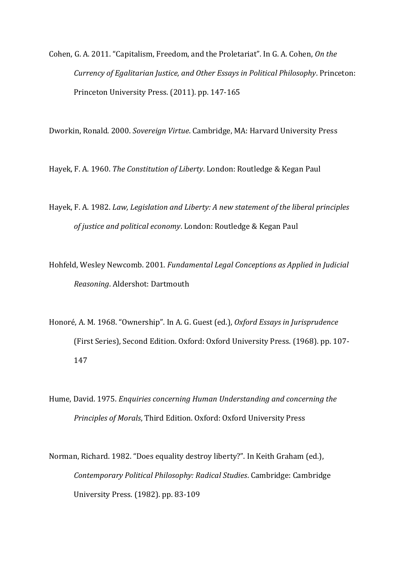Cohen, G. A. 2011. "Capitalism, Freedom, and the Proletariat". In G. A. Cohen, *On the Currency of Egalitarian Justice, and Other Essays in Political Philosophy*. Princeton: Princeton University Press. (2011). pp. 147-165

Dworkin, Ronald. 2000. *Sovereign Virtue*. Cambridge, MA: Harvard University Press

Hayek, F. A. 1960. *The Constitution of Liberty*. London: Routledge & Kegan Paul

Hayek, F. A. 1982. *Law, Legislation and Liberty: A new statement of the liberal principles of justice and political economy*. London: Routledge & Kegan Paul

Hohfeld, Wesley Newcomb. 2001. *Fundamental Legal Conceptions as Applied in Judicial Reasoning*. Aldershot: Dartmouth

Honoré, A. M. 1968. "Ownership". In A. G. Guest (ed.), *Oxford Essays in Jurisprudence* (First Series), Second Edition. Oxford: Oxford University Press. (1968). pp. 107- 147

Hume, David. 1975. *Enquiries concerning Human Understanding and concerning the Principles of Morals*, Third Edition. Oxford: Oxford University Press

Norman, Richard. 1982. "Does equality destroy liberty?". In Keith Graham (ed.), *Contemporary Political Philosophy: Radical Studies*. Cambridge: Cambridge University Press. (1982). pp. 83-109